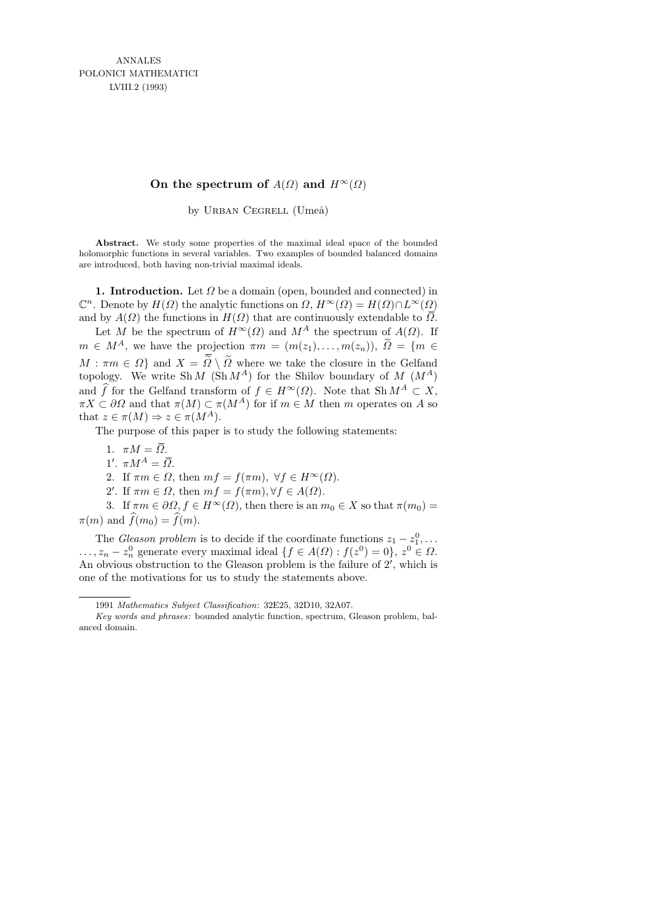## **On the spectrum of**  $A(\Omega)$  **and**  $H^{\infty}(\Omega)$

by URBAN CEGRELL (Umeå)

Abstract. We study some properties of the maximal ideal space of the bounded holomorphic functions in several variables. Two examples of bounded balanced domains are introduced, both having non-trivial maximal ideals.

1. Introduction. Let  $\Omega$  be a domain (open, bounded and connected) in  $\mathbb{C}^n$ . Denote by  $H(\Omega)$  the analytic functions on  $\Omega$ ,  $H^{\infty}(\Omega) = H(\Omega) \cap L^{\infty}(\Omega)$ and by  $A(\Omega)$  the functions in  $H(\Omega)$  that are continuously extendable to  $\overline{\Omega}$ .

Let M be the spectrum of  $H^{\infty}(\Omega)$  and  $M^A$  the spectrum of  $A(\Omega)$ . If  $m \in M^A$ , we have the projection  $\pi m = (m(z_1), \ldots, m(z_n)), \ \tilde{\Omega} = \{m \in$  $M : \pi m \in \Omega$  and  $X = \tilde{\Omega} \setminus \tilde{\Omega}$  where we take the closure in the Gelfand topology. We write Sh  $M$  (Sh  $M^A$ ) for the Shilov boundary of  $M$  ( $M^A$ ) and  $\widehat{f}$  for the Gelfand transform of  $f \in H^{\infty}(\Omega)$ . Note that Sh  $M^A \subset X$ ,  $\pi X \subset \partial \Omega$  and that  $\pi(M) \subset \pi(M^A)$  for if  $m \in M$  then m operates on A so that  $z \in \pi(M) \Rightarrow z \in \pi(M^A)$ .

The purpose of this paper is to study the following statements:

- 1.  $\pi M = \overline{\Omega}$ .
- 1'.  $\pi M^A = \overline{\Omega}$ .

2. If  $\pi m \in \Omega$ , then  $mf = f(\pi m)$ ,  $\forall f \in H^{\infty}(\Omega)$ .

2'. If  $\pi m \in \Omega$ , then  $mf = f(\pi m), \forall f \in A(\Omega)$ .

3. If  $\pi m \in \partial \Omega, f \in H^{\infty}(\Omega)$ , then there is an  $m_0 \in X$  so that  $\pi(m_0) =$  $\pi(m)$  and  $f(m_0) = f(m)$ .

The *Gleason problem* is to decide if the coordinate functions  $z_1 - z_1^0, \ldots$ ...,  $z_n - z_n^0$  generate every maximal ideal  $\{f \in A(\Omega) : f(z^0) = 0\}, z^0 \in \Omega$ . An obvious obstruction to the Gleason problem is the failure of  $2'$ , which is one of the motivations for us to study the statements above.

<sup>1991</sup> *Mathematics Subject Classification*: 32E25, 32D10, 32A07.

*Key words and phrases*: bounded analytic function, spectrum, Gleason problem, balanced domain.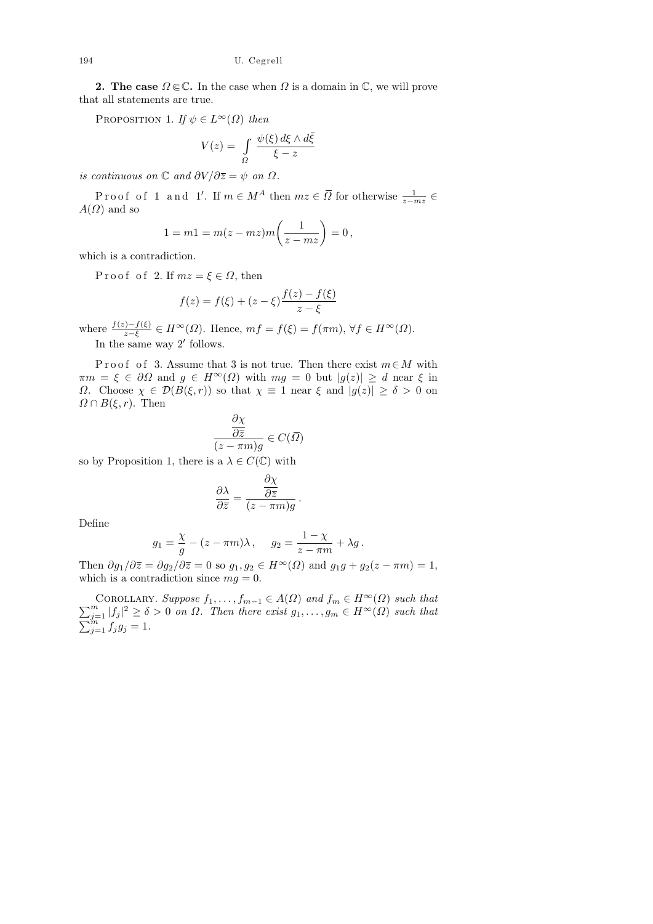**2.** The case  $\Omega \in \mathbb{C}$ . In the case when  $\Omega$  is a domain in  $\mathbb{C}$ , we will prove that all statements are true.

PROPOSITION 1. If  $\psi \in L^{\infty}(\Omega)$  then

$$
V(z) = \int_{\Omega} \frac{\psi(\xi) d\xi \wedge d\bar{\xi}}{\xi - z}
$$

is continuous on  $\mathbb C$  and  $\partial V/\partial \overline{z} = \psi$  on  $\Omega$ .

Proof of 1 and 1'. If  $m \in M^A$  then  $mz \in \overline{\Omega}$  for otherwise  $\frac{1}{z-mz} \in$  $A(\Omega)$  and so

$$
1 = m1 = m(z - mz)m\left(\frac{1}{z - mz}\right) = 0,
$$

which is a contradiction.

Proof of 2. If  $mz = \xi \in \Omega$ , then

$$
f(z) = f(\xi) + (z - \xi) \frac{f(z) - f(\xi)}{z - \xi}
$$

where  $\frac{f(z)-f(\xi)}{z-\xi} \in H^{\infty}(\Omega)$ . Hence,  $mf = f(\xi) = f(\pi m)$ ,  $\forall f \in H^{\infty}(\Omega)$ .

In the same way  $2'$  follows.

P r o o f o f 3. Assume that 3 is not true. Then there exist  $m \in M$  with  $\pi m = \xi \in \partial\Omega$  and  $g \in H^{\infty}(\Omega)$  with  $mg = 0$  but  $|g(z)| \geq d$  near  $\xi$  in Ω. Choose  $\chi$  ∈  $\mathcal{D}(B(\xi,r))$  so that  $\chi$  = 1 near ξ and  $|g(z)| \geq \delta > 0$  on  $\Omega \cap B(\xi, r)$ . Then

$$
\frac{\frac{\partial \chi}{\partial \bar{z}}}{(z - \pi m)g} \in C(\bar{\Omega})
$$

so by Proposition 1, there is a  $\lambda \in C(\mathbb{C})$  with

$$
\frac{\partial \lambda}{\partial \overline{z}} = \frac{\frac{\partial \chi}{\partial \overline{z}}}{(z - \pi m)g}.
$$

Define

$$
g_1 = \frac{\chi}{g} - (z - \pi m)\lambda, \quad g_2 = \frac{1 - \chi}{z - \pi m} + \lambda g.
$$

Then  $\partial g_1/\partial \overline{z} = \partial g_2/\partial \overline{z} = 0$  so  $g_1, g_2 \in H^\infty(\Omega)$  and  $g_1g + g_2(z - \pi m) = 1$ , which is a contradiction since  $mg = 0$ .

 $\sum$ COROLLARY. Suppose  $f_1, \ldots, f_{m-1} \in A(\Omega)$  and  $f_m \in H^{\infty}(\Omega)$  such that  $\sum_{j=1}^m |f_j|^2 \ge \delta > 0$  on  $\Omega$ . Then there exist  $g_1, \ldots, g_m \in H^{\infty}(\Omega)$  such that  $\sum_{j=1}^{m} f_j g_j = 1.$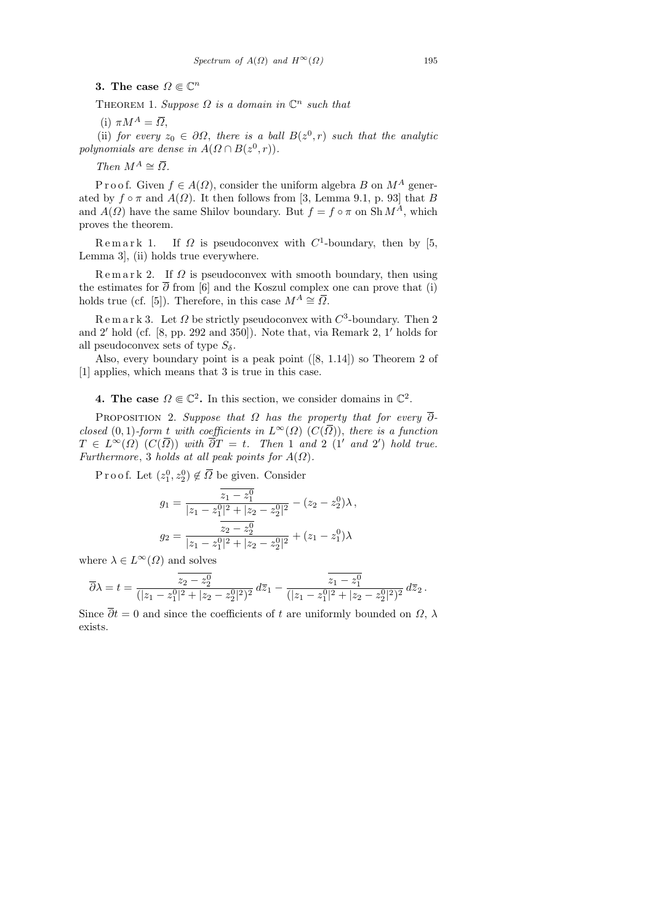3. The case  $\Omega \in \mathbb{C}^n$ 

THEOREM 1. Suppose  $\Omega$  is a domain in  $\mathbb{C}^n$  such that

(i)  $\pi M^A = \overline{\Omega}$ ,

(ii) for every  $z_0 \in \partial \Omega$ , there is a ball  $B(z^0, r)$  such that the analytic polynomials are dense in  $A(\Omega \cap B(z^0, r)).$ 

Then  $M^A \cong \overline{\Omega}$ .

P r o o f. Given  $f \in A(\Omega)$ , consider the uniform algebra B on  $M^A$  generated by  $f \circ \pi$  and  $A(\Omega)$ . It then follows from [3, Lemma 9.1, p. 93] that B and  $A(\Omega)$  have the same Shilov boundary. But  $f = f \circ \pi$  on Sh  $M^A$ , which proves the theorem.

Remark 1. If  $\Omega$  is pseudoconvex with  $C^1$ -boundary, then by [5, Lemma 3], (ii) holds true everywhere.

 $\text{Remar } k$  2. If  $\Omega$  is pseudoconvex with smooth boundary, then using the estimates for  $\overline{\partial}$  from [6] and the Koszul complex one can prove that (i) holds true (cf. [5]). Therefore, in this case  $M^A \cong \overline{\Omega}$ .

 $\operatorname{R}$  e m a r k 3. Let  $\Omega$  be strictly pseudoconvex with  $C^3$ -boundary. Then 2 and 2' hold (cf.  $[8, pp. 292 \text{ and } 350]$ ). Note that, via Remark 2, 1' holds for all pseudoconvex sets of type  $S_{\delta}$ .

Also, every boundary point is a peak point ([8, 1.14]) so Theorem 2 of [1] applies, which means that 3 is true in this case.

**4. The case**  $\Omega \in \mathbb{C}^2$ . In this section, we consider domains in  $\mathbb{C}^2$ .

PROPOSITION 2. Suppose that  $\Omega$  has the property that for every  $\overline{\partial}$ closed (0, 1)-form t with coefficients in  $L^{\infty}(\Omega)$  ( $C(\overline{\Omega})$ ), there is a function  $T \in L^{\infty}(\Omega)$   $(C(\overline{\Omega}))$  with  $\overline{\partial}T = t$ . Then 1 and 2 (1' and 2') hold true. Furthermore, 3 holds at all peak points for  $A(\Omega)$ .

Proof. Let  $(z_1^0, z_2^0) \notin \overline{\Omega}$  be given. Consider

$$
g_1 = \frac{\overline{z_1 - z_1^0}}{|z_1 - z_1^0|^2 + |z_2 - z_2^0|^2} - (z_2 - z_2^0)\lambda,
$$
  

$$
g_2 = \frac{\overline{z_2 - z_2^0}}{|z_1 - z_1^0|^2 + |z_2 - z_2^0|^2} + (z_1 - z_1^0)\lambda
$$

where  $\lambda \in L^{\infty}(\Omega)$  and solves

$$
\overline{\partial}\lambda = t = \frac{z_2 - z_2^0}{(|z_1 - z_1^0|^2 + |z_2 - z_2^0|^2)^2} d\overline{z}_1 - \frac{z_1 - z_1^0}{(|z_1 - z_1^0|^2 + |z_2 - z_2^0|^2)^2} d\overline{z}_2.
$$

Since  $\overline{\partial}t = 0$  and since the coefficients of t are uniformly bounded on  $\Omega$ ,  $\lambda$ exists.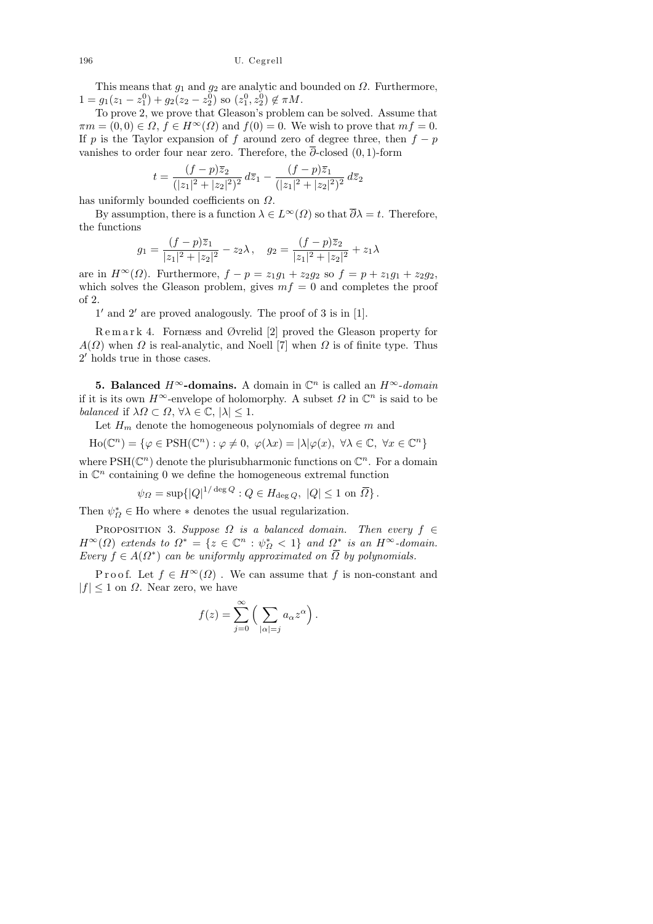196 U. Cegrell

This means that  $g_1$  and  $g_2$  are analytic and bounded on  $\Omega$ . Furthermore,  $1 = g_1(z_1 - z_1^0) + g_2(z_2 - z_2^0)$  so  $(z_1^0, z_2^0) \notin \pi M$ .

To prove 2, we prove that Gleason's problem can be solved. Assume that  $\pi m = (0, 0) \in \Omega$ ,  $f \in H^{\infty}(\Omega)$  and  $f(0) = 0$ . We wish to prove that  $mf = 0$ . If p is the Taylor expansion of f around zero of degree three, then  $f - p$ vanishes to order four near zero. Therefore, the  $\overline{\partial}$ -closed (0, 1)-form

$$
t = \frac{(f-p)\overline{z}_2}{(|z_1|^2 + |z_2|^2)^2} d\overline{z}_1 - \frac{(f-p)\overline{z}_1}{(|z_1|^2 + |z_2|^2)^2} d\overline{z}_2
$$

has uniformly bounded coefficients on Ω.

By assumption, there is a function  $\lambda \in L^{\infty}(\Omega)$  so that  $\overline{\partial}\lambda = t$ . Therefore, the functions

$$
g_1 = \frac{(f-p)\overline{z}_1}{|z_1|^2 + |z_2|^2} - z_2\lambda, \quad g_2 = \frac{(f-p)\overline{z}_2}{|z_1|^2 + |z_2|^2} + z_1\lambda
$$

are in  $H^{\infty}(\Omega)$ . Furthermore,  $f - p = z_1g_1 + z_2g_2$  so  $f = p + z_1g_1 + z_2g_2$ , which solves the Gleason problem, gives  $mf = 0$  and completes the proof of 2.

 $1'$  and  $2'$  are proved analogously. The proof of 3 is in [1].

R e m a r k 4. Fornæss and Øvrelid [2] proved the Gleason property for  $A(\Omega)$  when  $\Omega$  is real-analytic, and Noell [7] when  $\Omega$  is of finite type. Thus 2' holds true in those cases.

**5. Balanced**  $H^{\infty}$ -domains. A domain in  $\mathbb{C}^n$  is called an  $H^{\infty}$ -domain if it is its own  $H^{\infty}$ -envelope of holomorphy. A subset  $\Omega$  in  $\mathbb{C}^n$  is said to be balanced if  $\lambda \Omega \subset \Omega$ ,  $\forall \lambda \in \mathbb{C}$ ,  $|\lambda| \leq 1$ .

Let  $H_m$  denote the homogeneous polynomials of degree m and

$$
\text{Ho}(\mathbb{C}^n) = \{ \varphi \in \text{PSH}(\mathbb{C}^n) : \varphi \neq 0, \ \varphi(\lambda x) = |\lambda| \varphi(x), \ \forall \lambda \in \mathbb{C}, \ \forall x \in \mathbb{C}^n \}
$$

where  $PSH(\mathbb{C}^n)$  denote the plurisubharmonic functions on  $\mathbb{C}^n$ . For a domain in  $\mathbb{C}^n$  containing 0 we define the homogeneous extremal function

$$
\psi_{\Omega} = \sup\{|Q|^{1/\deg Q} : Q \in H_{\deg Q}, \ |Q| \le 1 \text{ on } \overline{\Omega}\}.
$$

Then  $\psi_{\varOmega}^* \in$  Ho where  $*$  denotes the usual regularization.

PROPOSITION 3. Suppose  $\Omega$  is a balanced domain. Then every  $f \in$  $H^{\infty}(\Omega)$  extends to  $\Omega^* = \{z \in \mathbb{C}^n : \psi_{\Omega}^* < 1\}$  and  $\Omega^*$  is an  $H^{\infty}$ -domain. Every  $f \in A(\Omega^*)$  can be uniformly approximated on  $\overline{\Omega}$  by polynomials.

P r o o f. Let  $f \in H^{\infty}(\Omega)$ . We can assume that f is non-constant and  $|f| \leq 1$  on  $\Omega$ . Near zero, we have

$$
f(z) = \sum_{j=0}^{\infty} \left( \sum_{|\alpha|=j} a_{\alpha} z^{\alpha} \right).
$$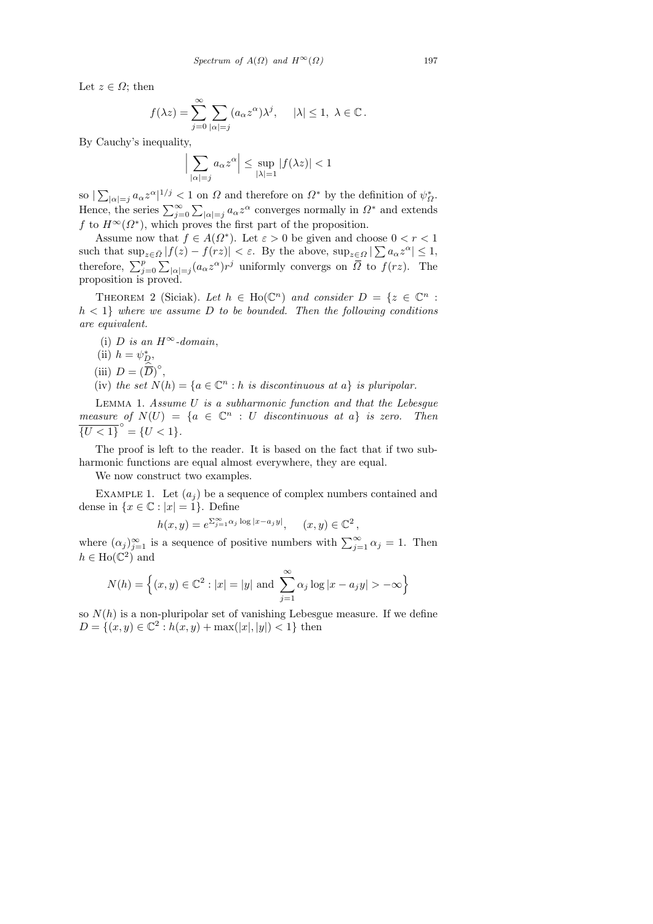Let  $z \in \Omega$ ; then

$$
f(\lambda z) = \sum_{j=0}^{\infty} \sum_{|\alpha|=j} (a_{\alpha} z^{\alpha}) \lambda^{j}, \quad |\lambda| \leq 1, \ \lambda \in \mathbb{C}.
$$

By Cauchy's inequality,

$$
\Big|\sum_{|\alpha|=j} a_{\alpha} z^{\alpha}\Big| \le \sup_{|\lambda|=1} |f(\lambda z)| < 1
$$

so  $\sum_{|\alpha|=j} a_{\alpha} z^{\alpha}$  |  $1/j < 1$  on  $\Omega$  and therefore on  $\Omega^*$  by the definition of  $\psi_{\Omega}^*$ . Hence, the series  $\sum_{j=0}^{\infty} \sum_{|\alpha|=j} a_{\alpha} z^{\alpha}$  converges normally in  $\Omega^*$  and extends f to  $H^{\infty}(\Omega^*)$ , which proves the first part of the proposition.

Assume now that  $f \in A(\Omega^*)$ . Let  $\varepsilon > 0$  be given and choose  $0 < r < 1$ such that  $\sup_{z \in \bar{\Omega}} |f(z) - f(rz)| < \varepsilon$ . By the above,  $\sup_{z \in \Omega} |\sum a_{\alpha} z^{\alpha}| \leq 1$ , therefore,  $\sum_{j=0}^p\sum_{|\alpha|=j}(a_\alpha z^\alpha)r^j$  uniformly convergs on  $\overline{\Omega}$  to  $f(rz)$ . The proposition is proved.

THEOREM 2 (Siciak). Let  $h \in Ho(\mathbb{C}^n)$  and consider  $D = \{z \in \mathbb{C}^n :$  $h < 1$  where we assume D to be bounded. Then the following conditions are equivalent.

- (i) D is an  $H^{\infty}$ -domain,
- (ii)  $h = \psi_D^*$ ,
- (iii)  $D = (\widehat{\overline{D}})^{\circ}$ ,
- (iv) the set  $N(h) = \{a \in \mathbb{C}^n : h \text{ is discontinuous at } a\}$  is pluripolar.

Lemma 1. Assume U is a subharmonic function and that the Lebesgue measure of  $N(U) = \{a \in \mathbb{C}^n : U$  discontinuous at a} is zero. Then  $\overline{\{U < 1\}}^{\circ} = \{U < 1\}.$ 

The proof is left to the reader. It is based on the fact that if two subharmonic functions are equal almost everywhere, they are equal.

We now construct two examples.

EXAMPLE 1. Let  $(a_i)$  be a sequence of complex numbers contained and dense in  $\{x \in \mathbb{C} : |x| = 1\}$ . Define

$$
h(x,y) = e^{\sum_{j=1}^{\infty} \alpha_j \log|x - a_j y|}, \quad (x,y) \in \mathbb{C}^2,
$$

where  $(\alpha_j)_{j=1}^{\infty}$  is a sequence of positive numbers with  $\sum_{j=1}^{\infty} \alpha_j = 1$ . Then  $h \in \text{Ho}(\mathbb{C}^2)$  and

$$
N(h) = \{(x, y) \in \mathbb{C}^2 : |x| = |y| \text{ and } \sum_{j=1}^{\infty} \alpha_j \log |x - a_j y| > -\infty \}
$$

so  $N(h)$  is a non-pluripolar set of vanishing Lebesgue measure. If we define  $D = \{(x, y) \in \mathbb{C}^2 : h(x, y) + \max(|x|, |y|) < 1\}$  then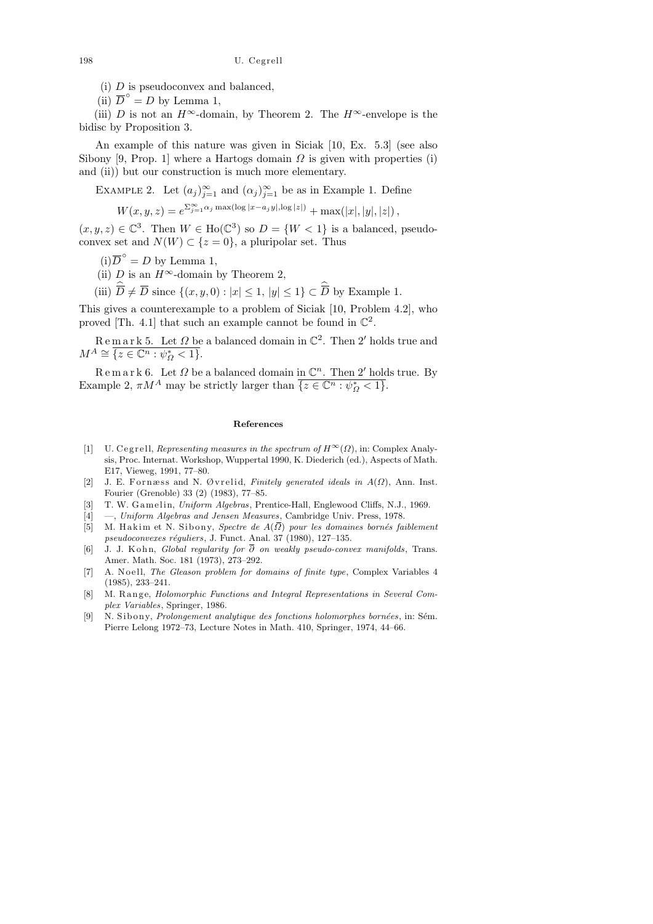(i)  $D$  is pseudoconvex and balanced,

(ii)  $\overline{D}^{\circ} = D$  by Lemma 1,

(iii) D is not an  $H^{\infty}$ -domain, by Theorem 2. The  $H^{\infty}$ -envelope is the bidisc by Proposition 3.

An example of this nature was given in Siciak [10, Ex. 5.3] (see also Sibony [9, Prop. 1] where a Hartogs domain  $\Omega$  is given with properties (i) and (ii)) but our construction is much more elementary.

EXAMPLE 2. Let  $(a_j)_{j=1}^{\infty}$  and  $(\alpha_j)_{j=1}^{\infty}$  be as in Example 1. Define

 $W(x, y, z) = e^{\sum_{j=1}^{\infty} \alpha_j \max(\log |x - a_j y|, \log |z|)} + \max(|x|, |y|, |z|),$ 

 $(x, y, z) \in \mathbb{C}^3$ . Then  $W \in Ho(\mathbb{C}^3)$  so  $D = \{W < 1\}$  is a balanced, pseudoconvex set and  $N(W) \subset \{z = 0\}$ , a pluripolar set. Thus

- $(i)$  $\overline{D}^{\circ} = D$  by Lemma 1,
- (ii) D is an  $H^{\infty}$ -domain by Theorem 2,

(iii)  $\widehat{\overline{D}} \neq \overline{D}$  since  $\{(x, y, 0) : |x| \leq 1, |y| \leq 1\} \subset \widehat{\overline{D}}$  by Example 1.

This gives a counterexample to a problem of Siciak [10, Problem 4.2], who proved [Th. 4.1] that such an example cannot be found in  $\mathbb{C}^2$ .

 $\mathbb R$  e m a r k 5. Let  $\Omega$  be a balanced domain in  $\mathbb C^2$ . Then 2' holds true and  $M^A \cong \overline{\{z \in \mathbb{C}^n : \psi^*_{\Omega} < 1\}}.$ 

 $\mathbb R$  e m a r k 6. Let  $\Omega$  be a balanced domain in  $\mathbb C^n$ . Then 2' holds true. By Example 2,  $\pi M^A$  may be strictly larger than  $\overline{\{z \in \mathbb{C}^n : \psi^*_{\Omega} < 1\}}$ .

## **References**

- [1] U. C egrell, *Representing measures in the spectrum of*  $H^{\infty}(\Omega)$ , in: Complex Analysis, Proc. Internat. Workshop, Wuppertal 1990, K. Diederich (ed.), Aspects of Math. E17, Vieweg, 1991, 77–80.
- [2] J. E. F o r næ s s and N. Ø v r eli d, *Finitely generated ideals in A*(*Ω*), Ann. Inst. Fourier (Grenoble) 33 (2) (1983), 77–85.
- [3] T. W. G am eli n, *Uniform Algebras*, Prentice-Hall, Englewood Cliffs, N.J., 1969.
- [4] —, *Uniform Algebras and Jensen Measures*, Cambridge Univ. Press, 1978.
- [5] M. Hakim et N. Sibony, *Spectre de A*( $\overline{\Omega}$ ) *pour les domaines bornés faiblement pseudoconvexes réguliers*, J. Funct. Anal. 37 (1980), 127–135.
- [6] J. J. K o h n, *Global regularity for ∂ on weakly pseudo-convex manifolds*, Trans. Amer. Math. Soc. 181 (1973), 273–292.
- [7] A. N o ell, *The Gleason problem for domains of finite type*, Complex Variables 4 (1985), 233–241.
- M. Range, *Holomorphic Functions and Integral Representations in Several Complex Variables*, Springer, 1986.
- [9] N. Sibony, *Prolongement analytique des fonctions holomorphes bornées*, in: Sém. Pierre Lelong 1972–73, Lecture Notes in Math. 410, Springer, 1974, 44–66.